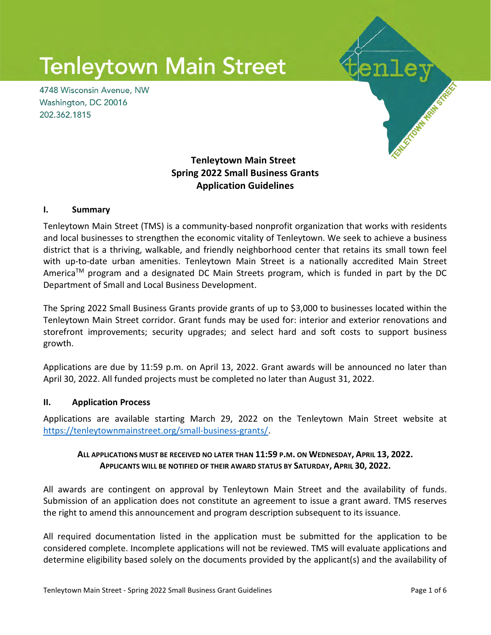# **Tenleytown Main Street**

4748 Wisconsin Avenue, NW Washington, DC 20016 202.362.1815



# Tenleytown Main Street Spring 2022 Small Business Grants Application Guidelines

#### I. Summary

Tenleytown Main Street (TMS) is a community-based nonprofit organization that works with residents and local businesses to strengthen the economic vitality of Tenleytown. We seek to achieve a business district that is a thriving, walkable, and friendly neighborhood center that retains its small town feel with up-to-date urban amenities. Tenleytown Main Street is a nationally accredited Main Street America<sup>TM</sup> program and a designated DC Main Streets program, which is funded in part by the DC Department of Small and Local Business Development.

The Spring 2022 Small Business Grants provide grants of up to \$3,000 to businesses located within the Tenleytown Main Street corridor. Grant funds may be used for: interior and exterior renovations and storefront improvements; security upgrades; and select hard and soft costs to support business growth.

Applications are due by 11:59 p.m. on April 13, 2022. Grant awards will be announced no later than April 30, 2022. All funded projects must be completed no later than August 31, 2022.

#### II. Application Process

Applications are available starting March 29, 2022 on the Tenleytown Main Street website at https://tenleytownmainstreet.org/small-business-grants/.

## ALL APPLICATIONS MUST BE RECEIVED NO LATER THAN 11:59 P.M. ON WEDNESDAY, APRIL 13, 2022. APPLICANTS WILL BE NOTIFIED OF THEIR AWARD STATUS BY SATURDAY, APRIL 30, 2022.

All awards are contingent on approval by Tenleytown Main Street and the availability of funds. Submission of an application does not constitute an agreement to issue a grant award. TMS reserves the right to amend this announcement and program description subsequent to its issuance.

All required documentation listed in the application must be submitted for the application to be considered complete. Incomplete applications will not be reviewed. TMS will evaluate applications and determine eligibility based solely on the documents provided by the applicant(s) and the availability of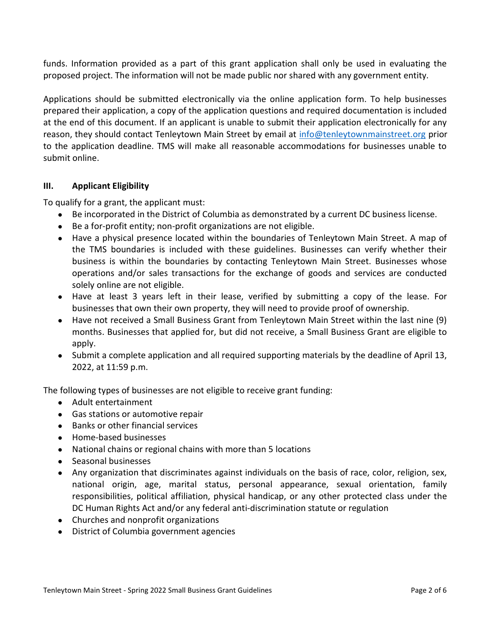funds. Information provided as a part of this grant application shall only be used in evaluating the proposed project. The information will not be made public nor shared with any government entity.

Applications should be submitted electronically via the online application form. To help businesses prepared their application, a copy of the application questions and required documentation is included at the end of this document. If an applicant is unable to submit their application electronically for any reason, they should contact Tenleytown Main Street by email at info@tenleytownmainstreet.org prior to the application deadline. TMS will make all reasonable accommodations for businesses unable to submit online.

#### III. Applicant Eligibility

To qualify for a grant, the applicant must:

- Be incorporated in the District of Columbia as demonstrated by a current DC business license.
- Be a for-profit entity; non-profit organizations are not eligible.
- Have a physical presence located within the boundaries of Tenleytown Main Street. A map of the TMS boundaries is included with these guidelines. Businesses can verify whether their business is within the boundaries by contacting Tenleytown Main Street. Businesses whose operations and/or sales transactions for the exchange of goods and services are conducted solely online are not eligible.
- Have at least 3 years left in their lease, verified by submitting a copy of the lease. For businesses that own their own property, they will need to provide proof of ownership.
- Have not received a Small Business Grant from Tenleytown Main Street within the last nine (9) months. Businesses that applied for, but did not receive, a Small Business Grant are eligible to apply.
- Submit a complete application and all required supporting materials by the deadline of April 13, 2022, at 11:59 p.m.

The following types of businesses are not eligible to receive grant funding:

- Adult entertainment
- Gas stations or automotive repair
- Banks or other financial services
- Home-based businesses
- National chains or regional chains with more than 5 locations
- Seasonal businesses
- Any organization that discriminates against individuals on the basis of race, color, religion, sex, national origin, age, marital status, personal appearance, sexual orientation, family responsibilities, political affiliation, physical handicap, or any other protected class under the DC Human Rights Act and/or any federal anti-discrimination statute or regulation
- Churches and nonprofit organizations
- District of Columbia government agencies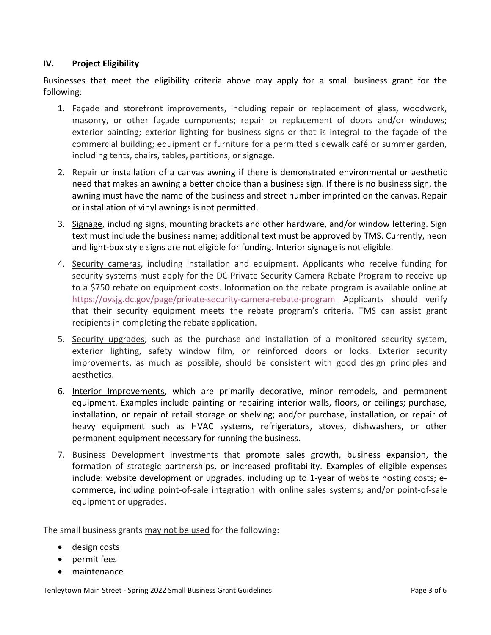## IV. Project Eligibility

Businesses that meet the eligibility criteria above may apply for a small business grant for the following:

- 1. Façade and storefront improvements, including repair or replacement of glass, woodwork, masonry, or other façade components; repair or replacement of doors and/or windows; exterior painting; exterior lighting for business signs or that is integral to the façade of the commercial building; equipment or furniture for a permitted sidewalk café or summer garden, including tents, chairs, tables, partitions, or signage.
- 2. Repair or installation of a canvas awning if there is demonstrated environmental or aesthetic need that makes an awning a better choice than a business sign. If there is no business sign, the awning must have the name of the business and street number imprinted on the canvas. Repair or installation of vinyl awnings is not permitted.
- 3. Signage, including signs, mounting brackets and other hardware, and/or window lettering. Sign text must include the business name; additional text must be approved by TMS. Currently, neon and light-box style signs are not eligible for funding. Interior signage is not eligible.
- 4. Security cameras, including installation and equipment. Applicants who receive funding for security systems must apply for the DC Private Security Camera Rebate Program to receive up to a \$750 rebate on equipment costs. Information on the rebate program is available online at https://ovsjg.dc.gov/page/private-security-camera-rebate-program Applicants should verify that their security equipment meets the rebate program's criteria. TMS can assist grant recipients in completing the rebate application.
- 5. Security upgrades, such as the purchase and installation of a monitored security system, exterior lighting, safety window film, or reinforced doors or locks. Exterior security improvements, as much as possible, should be consistent with good design principles and aesthetics.
- 6. Interior Improvements, which are primarily decorative, minor remodels, and permanent equipment. Examples include painting or repairing interior walls, floors, or ceilings; purchase, installation, or repair of retail storage or shelving; and/or purchase, installation, or repair of heavy equipment such as HVAC systems, refrigerators, stoves, dishwashers, or other permanent equipment necessary for running the business.
- 7. Business Development investments that promote sales growth, business expansion, the formation of strategic partnerships, or increased profitability. Examples of eligible expenses include: website development or upgrades, including up to 1-year of website hosting costs; ecommerce, including point-of-sale integration with online sales systems; and/or point-of-sale equipment or upgrades.

The small business grants may not be used for the following:

- design costs
- permit fees
- maintenance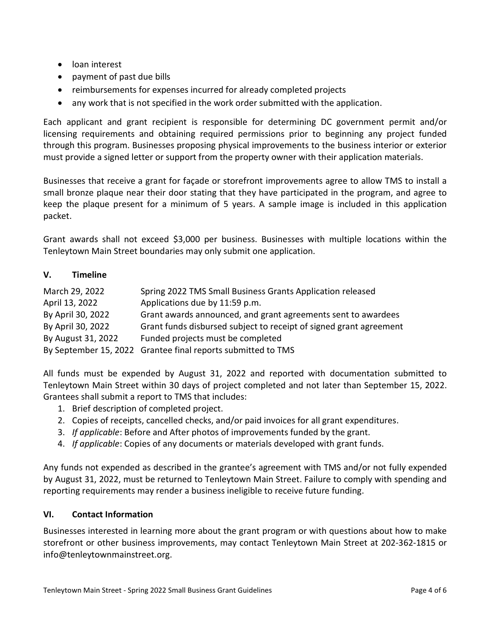- loan interest
- payment of past due bills
- reimbursements for expenses incurred for already completed projects
- any work that is not specified in the work order submitted with the application.

Each applicant and grant recipient is responsible for determining DC government permit and/or licensing requirements and obtaining required permissions prior to beginning any project funded through this program. Businesses proposing physical improvements to the business interior or exterior must provide a signed letter or support from the property owner with their application materials.

Businesses that receive a grant for façade or storefront improvements agree to allow TMS to install a small bronze plaque near their door stating that they have participated in the program, and agree to keep the plaque present for a minimum of 5 years. A sample image is included in this application packet.

Grant awards shall not exceed \$3,000 per business. Businesses with multiple locations within the Tenleytown Main Street boundaries may only submit one application.

#### V. Timeline

| March 29, 2022     | Spring 2022 TMS Small Business Grants Application released         |
|--------------------|--------------------------------------------------------------------|
| April 13, 2022     | Applications due by 11:59 p.m.                                     |
| By April 30, 2022  | Grant awards announced, and grant agreements sent to awardees      |
| By April 30, 2022  | Grant funds disbursed subject to receipt of signed grant agreement |
| By August 31, 2022 | Funded projects must be completed                                  |
|                    | By September 15, 2022 Grantee final reports submitted to TMS       |

All funds must be expended by August 31, 2022 and reported with documentation submitted to Tenleytown Main Street within 30 days of project completed and not later than September 15, 2022. Grantees shall submit a report to TMS that includes:

- 1. Brief description of completed project.
- 2. Copies of receipts, cancelled checks, and/or paid invoices for all grant expenditures.
- 3. If applicable: Before and After photos of improvements funded by the grant.
- 4. If applicable: Copies of any documents or materials developed with grant funds.

Any funds not expended as described in the grantee's agreement with TMS and/or not fully expended by August 31, 2022, must be returned to Tenleytown Main Street. Failure to comply with spending and reporting requirements may render a business ineligible to receive future funding.

#### VI. Contact Information

Businesses interested in learning more about the grant program or with questions about how to make storefront or other business improvements, may contact Tenleytown Main Street at 202-362-1815 or info@tenleytownmainstreet.org.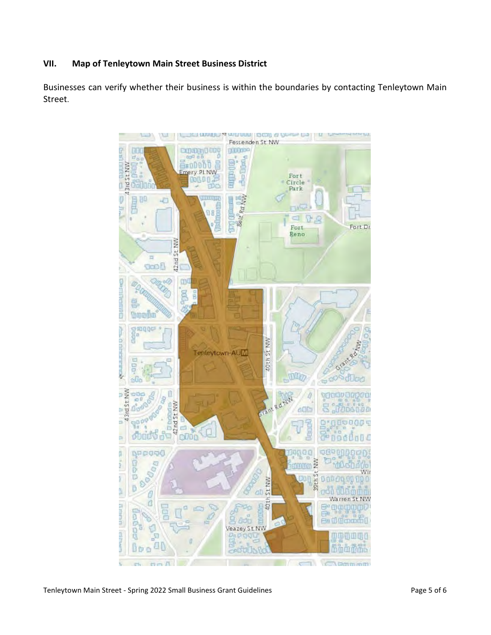### VII. Map of Tenleytown Main Street Business District

Businesses can verify whether their business is within the boundaries by contacting Tenleytown Main Street.

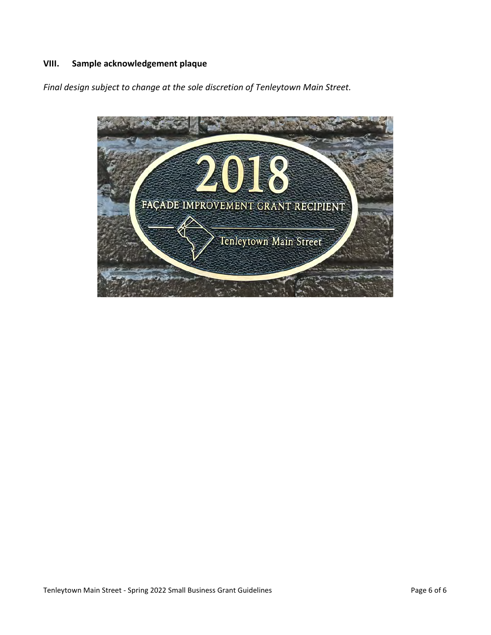# VIII. Sample acknowledgement plaque

Final design subject to change at the sole discretion of Tenleytown Main Street.

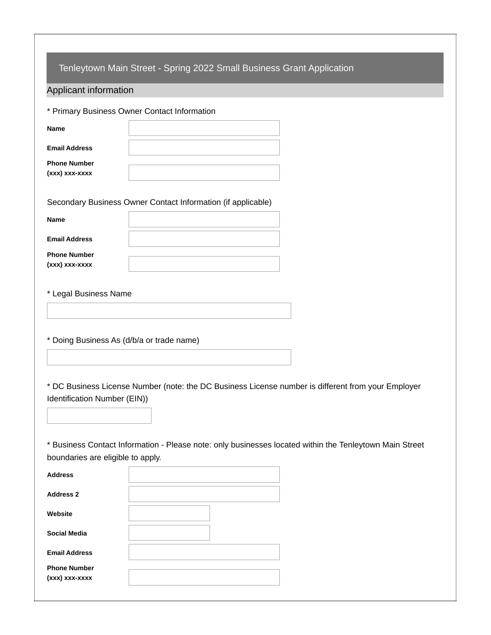|                                           | Tenleytown Main Street - Spring 2022 Small Business Grant Application                                   |
|-------------------------------------------|---------------------------------------------------------------------------------------------------------|
| Applicant information                     |                                                                                                         |
|                                           | * Primary Business Owner Contact Information                                                            |
| Name                                      |                                                                                                         |
| <b>Email Address</b>                      |                                                                                                         |
| <b>Phone Number</b><br>(xxx) xxx-xxxx     |                                                                                                         |
|                                           | Secondary Business Owner Contact Information (if applicable)                                            |
| <b>Name</b>                               |                                                                                                         |
| <b>Email Address</b>                      |                                                                                                         |
| <b>Phone Number</b><br>(xxx) xxx-xxxx     |                                                                                                         |
| * Legal Business Name                     |                                                                                                         |
| * Doing Business As (d/b/a or trade name) |                                                                                                         |
| Identification Number (EIN))              | * DC Business License Number (note: the DC Business License number is different from your Employer      |
| boundaries are eligible to apply.         | * Business Contact Information - Please note: only businesses located within the Tenleytown Main Street |
| <b>Address</b>                            |                                                                                                         |
| <b>Address 2</b>                          |                                                                                                         |
| Website                                   |                                                                                                         |
| <b>Social Media</b>                       |                                                                                                         |
| <b>Email Address</b>                      |                                                                                                         |
| <b>Phone Number</b><br>(xxx) xxx-xxxx     |                                                                                                         |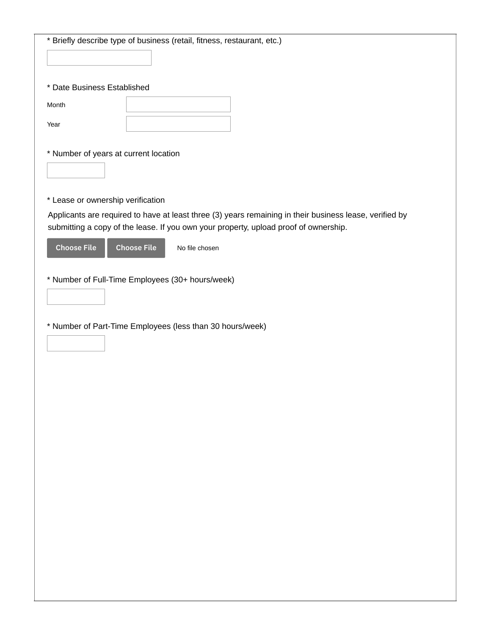| * Briefly describe type of business (retail, fitness, restaurant, etc.)                                                                                                                         |  |  |  |
|-------------------------------------------------------------------------------------------------------------------------------------------------------------------------------------------------|--|--|--|
|                                                                                                                                                                                                 |  |  |  |
| * Date Business Established                                                                                                                                                                     |  |  |  |
| Month                                                                                                                                                                                           |  |  |  |
| Year                                                                                                                                                                                            |  |  |  |
| * Number of years at current location                                                                                                                                                           |  |  |  |
|                                                                                                                                                                                                 |  |  |  |
| * Lease or ownership verification                                                                                                                                                               |  |  |  |
| Applicants are required to have at least three (3) years remaining in their business lease, verified by<br>submitting a copy of the lease. If you own your property, upload proof of ownership. |  |  |  |
| <b>Choose File</b><br><b>Choose File</b><br>No file chosen                                                                                                                                      |  |  |  |
| * Number of Full-Time Employees (30+ hours/week)                                                                                                                                                |  |  |  |
|                                                                                                                                                                                                 |  |  |  |
| * Number of Part-Time Employees (less than 30 hours/week)                                                                                                                                       |  |  |  |
|                                                                                                                                                                                                 |  |  |  |
|                                                                                                                                                                                                 |  |  |  |
|                                                                                                                                                                                                 |  |  |  |
|                                                                                                                                                                                                 |  |  |  |
|                                                                                                                                                                                                 |  |  |  |
|                                                                                                                                                                                                 |  |  |  |
|                                                                                                                                                                                                 |  |  |  |
|                                                                                                                                                                                                 |  |  |  |
|                                                                                                                                                                                                 |  |  |  |
|                                                                                                                                                                                                 |  |  |  |
|                                                                                                                                                                                                 |  |  |  |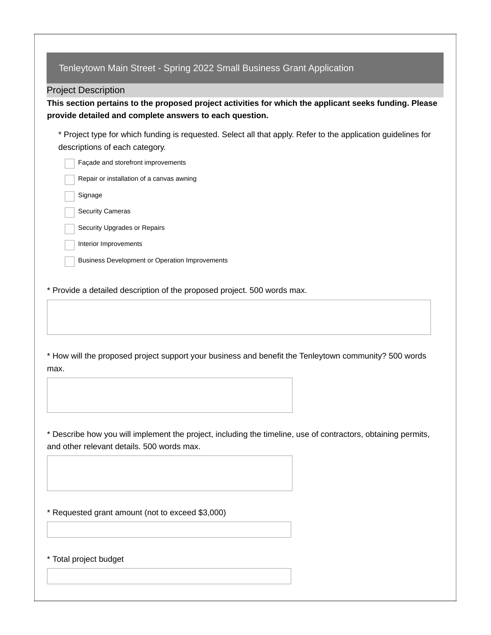| <b>Project Description</b> |                                                                                                                                                                   |
|----------------------------|-------------------------------------------------------------------------------------------------------------------------------------------------------------------|
|                            | This section pertains to the proposed project activities for which the applicant seeks funding. Please<br>provide detailed and complete answers to each question. |
|                            | * Project type for which funding is requested. Select all that apply. Refer to the application guidelines for<br>descriptions of each category.                   |
|                            | Façade and storefront improvements                                                                                                                                |
|                            | Repair or installation of a canvas awning                                                                                                                         |
| Signage                    |                                                                                                                                                                   |
|                            | Security Cameras                                                                                                                                                  |
|                            | Security Upgrades or Repairs                                                                                                                                      |
|                            | Interior Improvements                                                                                                                                             |
|                            | <b>Business Development or Operation Improvements</b>                                                                                                             |
|                            |                                                                                                                                                                   |
| max.                       | * How will the proposed project support your business and benefit the Tenleytown community? 500 words                                                             |
|                            |                                                                                                                                                                   |
|                            | * Describe how you will implement the project, including the timeline, use of contractors, obtaining permits,<br>and other relevant details. 500 words max.       |
|                            |                                                                                                                                                                   |
|                            |                                                                                                                                                                   |
|                            | * Requested grant amount (not to exceed \$3,000)                                                                                                                  |

\* Total project budget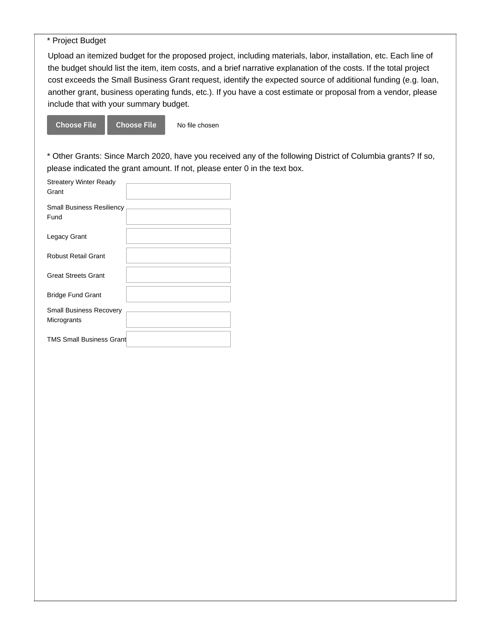\* Project Budget

Upload an itemized budget for the proposed project, including materials, labor, installation, etc. Each line of the budget should list the item, item costs, and a brief narrative explanation of the costs. If the total project cost exceeds the Small Business Grant request, identify the expected source of additional funding (e.g. loan, another grant, business operating funds, etc.). If you have a cost estimate or proposal from a vendor, please include that with your summary budget.

No file chosen Choose File Choose File

\* Other Grants: Since March 2020, have you received any of the following District of Columbia grants? If so, please indicated the grant amount. If not, please enter 0 in the text box.

| <b>Streatery Winter Ready</b><br>Grant        |  |
|-----------------------------------------------|--|
| <b>Small Business Resiliency</b><br>Fund      |  |
| Legacy Grant                                  |  |
| <b>Robust Retail Grant</b>                    |  |
| <b>Great Streets Grant</b>                    |  |
| <b>Bridge Fund Grant</b>                      |  |
| <b>Small Business Recovery</b><br>Microgrants |  |
| <b>TMS Small Business Grant</b>               |  |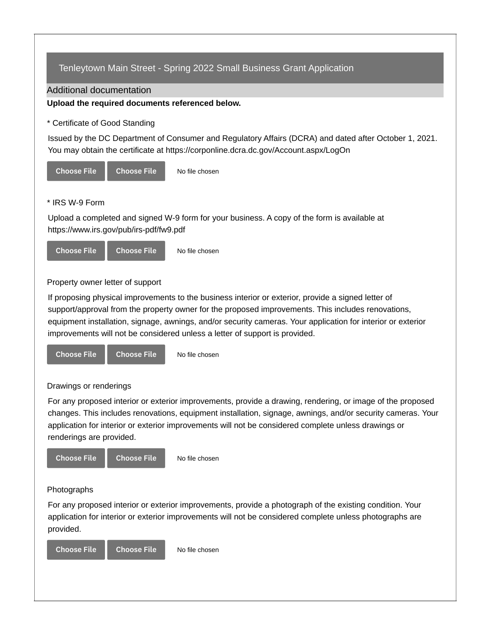# Tenleytown Main Street - Spring 2022 Small Business Grant Application

Additional documentation

#### **Upload the required documents referenced below.**

\* Certificate of Good Standing

Issued by the DC Department of Consumer and Regulatory Affairs (DCRA) and dated after October 1, 2021. You may obtain the certificate at https://corponline.dcra.dc.gov/Account.aspx/LogOn



#### \* IRS W-9 Form

Upload a completed and signed W-9 form for your business. A copy of the form is available at https://www.irs.gov/pub/irs-pdf/fw9.pdf



Property owner letter of support

If proposing physical improvements to the business interior or exterior, provide a signed letter of support/approval from the property owner for the proposed improvements. This includes renovations, equipment installation, signage, awnings, and/or security cameras. Your application for interior or exterior improvements will not be considered unless a letter of support is provided.



#### Drawings or renderings

For any proposed interior or exterior improvements, provide a drawing, rendering, or image of the proposed changes. This includes renovations, equipment installation, signage, awnings, and/or security cameras. Your application for interior or exterior improvements will not be considered complete unless drawings or renderings are provided.



For any proposed interior or exterior improvements, provide a photograph of the existing condition. Your application for interior or exterior improvements will not be considered complete unless photographs are provided.

No file chosen Choose File Choose File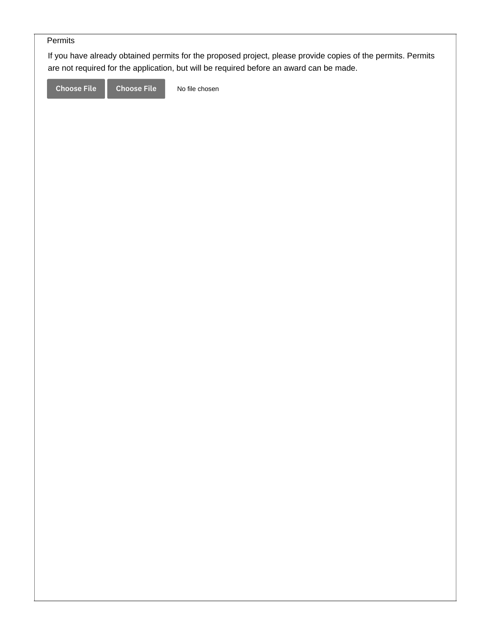## Permits

If you have already obtained permits for the proposed project, please provide copies of the permits. Permits are not required for the application, but will be required before an award can be made.

Choose File Choose File

No file chosen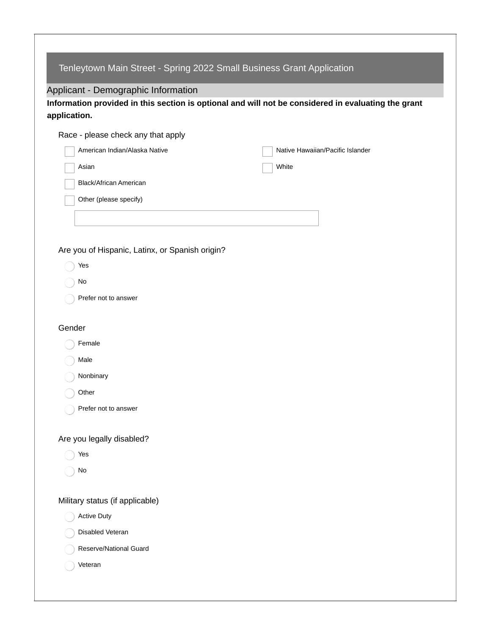| Tenleytown Main Street - Spring 2022 Small Business Grant Application                                               |                                  |  |  |  |  |
|---------------------------------------------------------------------------------------------------------------------|----------------------------------|--|--|--|--|
| Applicant - Demographic Information                                                                                 |                                  |  |  |  |  |
| Information provided in this section is optional and will not be considered in evaluating the grant<br>application. |                                  |  |  |  |  |
|                                                                                                                     |                                  |  |  |  |  |
| Race - please check any that apply<br>American Indian/Alaska Native                                                 | Native Hawaiian/Pacific Islander |  |  |  |  |
| Asian                                                                                                               | White                            |  |  |  |  |
| Black/African American                                                                                              |                                  |  |  |  |  |
| Other (please specify)                                                                                              |                                  |  |  |  |  |
|                                                                                                                     |                                  |  |  |  |  |
|                                                                                                                     |                                  |  |  |  |  |
|                                                                                                                     |                                  |  |  |  |  |
| Are you of Hispanic, Latinx, or Spanish origin?                                                                     |                                  |  |  |  |  |
| Yes                                                                                                                 |                                  |  |  |  |  |
| No                                                                                                                  |                                  |  |  |  |  |
| Prefer not to answer                                                                                                |                                  |  |  |  |  |
| Gender                                                                                                              |                                  |  |  |  |  |
| Female                                                                                                              |                                  |  |  |  |  |
| Male                                                                                                                |                                  |  |  |  |  |
| Nonbinary                                                                                                           |                                  |  |  |  |  |
| Other                                                                                                               |                                  |  |  |  |  |
| Prefer not to answer                                                                                                |                                  |  |  |  |  |
|                                                                                                                     |                                  |  |  |  |  |
| Are you legally disabled?                                                                                           |                                  |  |  |  |  |
| Yes                                                                                                                 |                                  |  |  |  |  |
| No                                                                                                                  |                                  |  |  |  |  |
|                                                                                                                     |                                  |  |  |  |  |
| Military status (if applicable)                                                                                     |                                  |  |  |  |  |
| <b>Active Duty</b>                                                                                                  |                                  |  |  |  |  |
| Disabled Veteran                                                                                                    |                                  |  |  |  |  |
| Reserve/National Guard                                                                                              |                                  |  |  |  |  |
| Veteran                                                                                                             |                                  |  |  |  |  |
|                                                                                                                     |                                  |  |  |  |  |